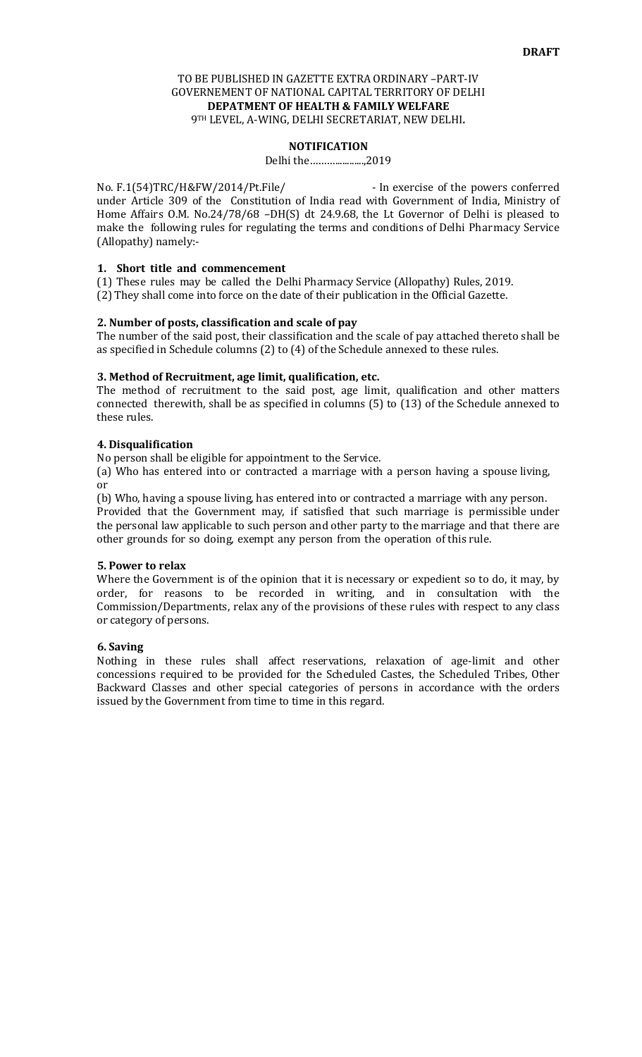## TO BE PUBLISHED IN GAZETTE EXTRA ORDINARY –PART-IV GOVERNEMENT OF NATIONAL CAPITAL TERRITORY OF DELHI **DEPATMENT OF HEALTH & FAMILY WELFARE**  9TH LEVEL, A-WING, DELHI SECRETARIAT, NEW DELHI*.*

### **NOTIFICATION**

Delhi the………............,2019

No. F.1(54)TRC/H&FW/2014/Pt.File/ - In exercise of the powers conferred under Article 309 of the Constitution of India read with Government of India, Ministry of Home Affairs O.M. No.24/78/68 -DH(S) dt 24.9.68, the Lt Governor of Delhi is pleased to make the following rules for regulating the terms and conditions of Delhi Pharmacy Service (Allopathy) namely:-

## **1. Short title and commencement**

(1) These rules may be called the Delhi Pharmacy Service (Allopathy) Rules, 2019. (2) They shall come into force on the date of their publication in the Official Gazette.

#### **2. Number of posts, classification and scale of pay**

The number of the said post, their classification and the scale of pay attached thereto shall be as specified in Schedule columns (2) to (4) of the Schedule annexed to these rules.

### **3. Method of Recruitment, age limit, qualification, etc.**

The method of recruitment to the said post, age limit, qualification and other matters connected therewith, shall be as specified in columns (5) to (13) of the Schedule annexed to these rules.

## **4. Disqualification**

No person shall be eligible for appointment to the Service.

(a) Who has entered into or contracted a marriage with a person having a spouse living, or

(b) Who, having a spouse living, has entered into or contracted a marriage with any person. Provided that the Government may, if satisfied that such marriage is permissible under the personal law applicable to such person and other party to the marriage and that there are other grounds for so doing, exempt any person from the operation of this rule.

#### **5. Power to relax**

Where the Government is of the opinion that it is necessary or expedient so to do, it may, by order, for reasons to be recorded in writing, and in consultation with the Commission/Departments, relax any of the provisions of these rules with respect to any class or category of persons.

#### **6. Saving**

Nothing in these rules shall affect reservations, relaxation of age-limit and other concessions required to be provided for the Scheduled Castes, the Scheduled Tribes, Other Backward Classes and other special categories of persons in accordance with the orders issued by the Government from time to time in this regard.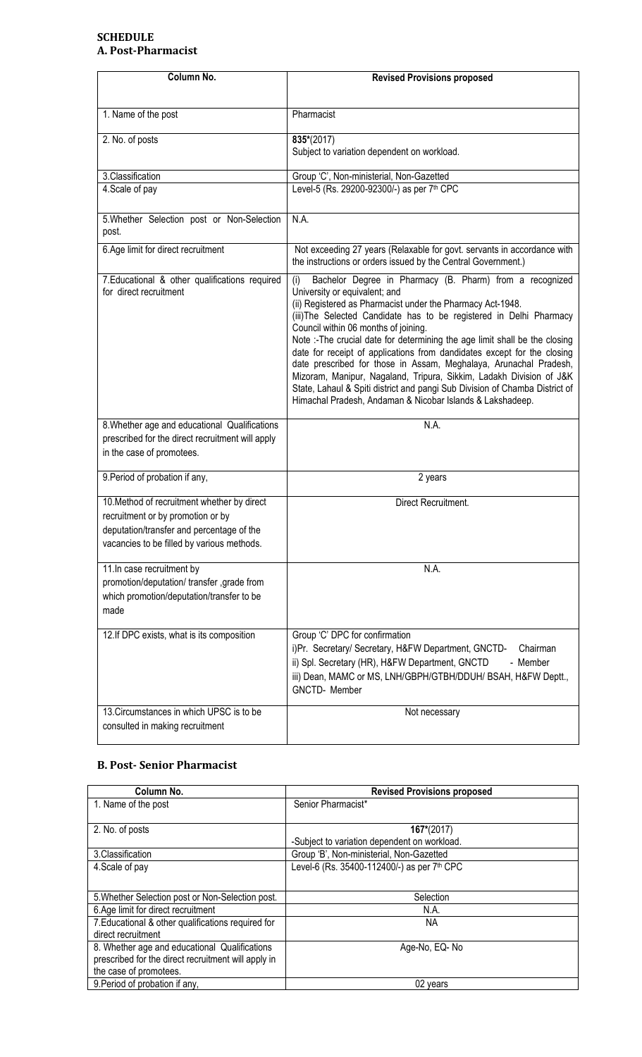## **SCHEDULE A. Post-Pharmacist**

| Column No.                                                                                                                                                                  | <b>Revised Provisions proposed</b>                                                                                                                                                                                                                                                                                                                                                                                                                                                                                                                                                                                                                                                                                              |
|-----------------------------------------------------------------------------------------------------------------------------------------------------------------------------|---------------------------------------------------------------------------------------------------------------------------------------------------------------------------------------------------------------------------------------------------------------------------------------------------------------------------------------------------------------------------------------------------------------------------------------------------------------------------------------------------------------------------------------------------------------------------------------------------------------------------------------------------------------------------------------------------------------------------------|
| 1. Name of the post                                                                                                                                                         | Pharmacist                                                                                                                                                                                                                                                                                                                                                                                                                                                                                                                                                                                                                                                                                                                      |
| 2. No. of posts                                                                                                                                                             | 835*(2017)<br>Subject to variation dependent on workload.                                                                                                                                                                                                                                                                                                                                                                                                                                                                                                                                                                                                                                                                       |
| 3. Classification                                                                                                                                                           | Group 'C', Non-ministerial, Non-Gazetted                                                                                                                                                                                                                                                                                                                                                                                                                                                                                                                                                                                                                                                                                        |
| 4. Scale of pay                                                                                                                                                             | Level-5 (Rs. 29200-92300/-) as per 7 <sup>th</sup> CPC                                                                                                                                                                                                                                                                                                                                                                                                                                                                                                                                                                                                                                                                          |
| 5. Whether Selection post or Non-Selection<br>post.                                                                                                                         | N.A.                                                                                                                                                                                                                                                                                                                                                                                                                                                                                                                                                                                                                                                                                                                            |
| 6.Age limit for direct recruitment                                                                                                                                          | Not exceeding 27 years (Relaxable for govt. servants in accordance with<br>the instructions or orders issued by the Central Government.)                                                                                                                                                                                                                                                                                                                                                                                                                                                                                                                                                                                        |
| 7. Educational & other qualifications required<br>for direct recruitment                                                                                                    | Bachelor Degree in Pharmacy (B. Pharm) from a recognized<br>(i)<br>University or equivalent; and<br>(ii) Registered as Pharmacist under the Pharmacy Act-1948.<br>(iii) The Selected Candidate has to be registered in Delhi Pharmacy<br>Council within 06 months of joining.<br>Note :- The crucial date for determining the age limit shall be the closing<br>date for receipt of applications from dandidates except for the closing<br>date prescribed for those in Assam, Meghalaya, Arunachal Pradesh,<br>Mizoram, Manipur, Nagaland, Tripura, Sikkim, Ladakh Division of J&K<br>State, Lahaul & Spiti district and pangi Sub Division of Chamba District of<br>Himachal Pradesh, Andaman & Nicobar Islands & Lakshadeep. |
| 8. Whether age and educational Qualifications<br>prescribed for the direct recruitment will apply<br>in the case of promotees.                                              | N.A.                                                                                                                                                                                                                                                                                                                                                                                                                                                                                                                                                                                                                                                                                                                            |
| 9. Period of probation if any,                                                                                                                                              | 2 years                                                                                                                                                                                                                                                                                                                                                                                                                                                                                                                                                                                                                                                                                                                         |
| 10. Method of recruitment whether by direct<br>recruitment or by promotion or by<br>deputation/transfer and percentage of the<br>vacancies to be filled by various methods. | Direct Recruitment.                                                                                                                                                                                                                                                                                                                                                                                                                                                                                                                                                                                                                                                                                                             |
| 11. In case recruitment by<br>promotion/deputation/ transfer ,grade from<br>which promotion/deputation/transfer to be<br>made                                               | N.A.                                                                                                                                                                                                                                                                                                                                                                                                                                                                                                                                                                                                                                                                                                                            |
| 12.If DPC exists, what is its composition                                                                                                                                   | Group 'C' DPC for confirmation<br>i)Pr. Secretary/ Secretary, H&FW Department, GNCTD-<br>Chairman<br>ii) Spl. Secretary (HR), H&FW Department, GNCTD<br>- Member<br>iii) Dean, MAMC or MS, LNH/GBPH/GTBH/DDUH/ BSAH, H&FW Deptt.,<br><b>GNCTD-</b> Member                                                                                                                                                                                                                                                                                                                                                                                                                                                                       |
| 13. Circumstances in which UPSC is to be<br>consulted in making recruitment                                                                                                 | Not necessary                                                                                                                                                                                                                                                                                                                                                                                                                                                                                                                                                                                                                                                                                                                   |

# **B. Post- Senior Pharmacist**

| Column No.                                          | <b>Revised Provisions proposed</b>           |
|-----------------------------------------------------|----------------------------------------------|
| 1. Name of the post                                 | Senior Pharmacist*                           |
|                                                     |                                              |
| 2. No. of posts                                     | $167*(2017)$                                 |
|                                                     | -Subject to variation dependent on workload. |
| 3. Classification                                   | Group 'B', Non-ministerial, Non-Gazetted     |
| 4. Scale of pay                                     | Level-6 (Rs. 35400-112400/-) as per 7th CPC  |
|                                                     |                                              |
| 5. Whether Selection post or Non-Selection post.    | Selection                                    |
| 6.Age limit for direct recruitment                  | N.A.                                         |
| 7. Educational & other qualifications required for  | <b>NA</b>                                    |
| direct recruitment                                  |                                              |
| 8. Whether age and educational Qualifications       | Age-No, EQ-No                                |
| prescribed for the direct recruitment will apply in |                                              |
| the case of promotees.                              |                                              |
| 9. Period of probation if any,                      | 02 years                                     |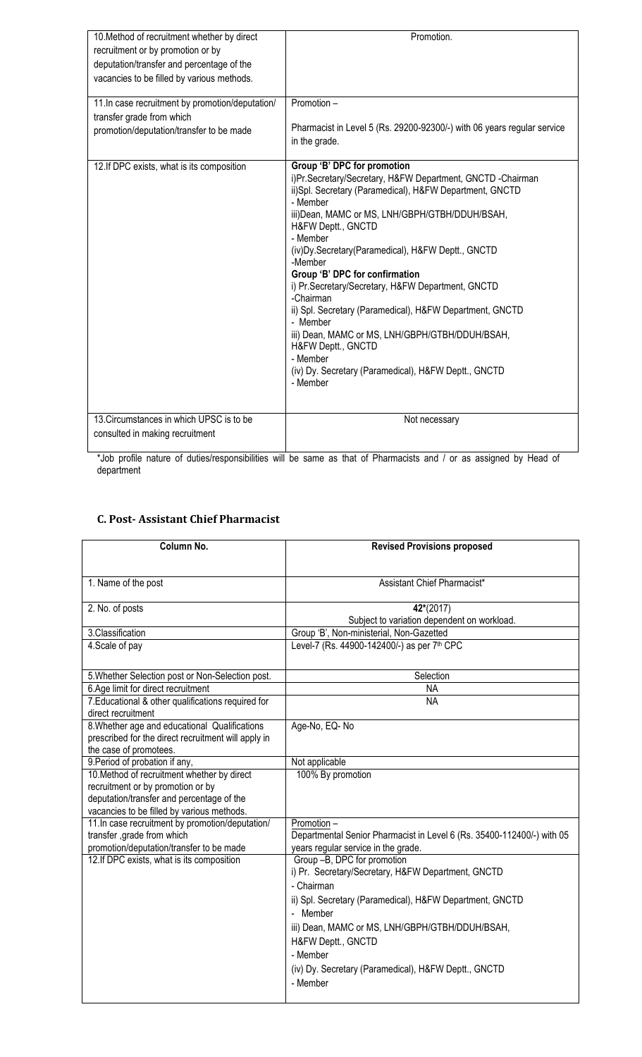| 10. Method of recruitment whether by direct<br>recruitment or by promotion or by<br>deputation/transfer and percentage of the<br>vacancies to be filled by various methods. | Promotion.                                                                                                                                                                                                                                                                                                                                                                                                                                                                                                                                                                                                                                                   |
|-----------------------------------------------------------------------------------------------------------------------------------------------------------------------------|--------------------------------------------------------------------------------------------------------------------------------------------------------------------------------------------------------------------------------------------------------------------------------------------------------------------------------------------------------------------------------------------------------------------------------------------------------------------------------------------------------------------------------------------------------------------------------------------------------------------------------------------------------------|
| 11.In case recruitment by promotion/deputation/<br>transfer grade from which<br>promotion/deputation/transfer to be made                                                    | Promotion -<br>Pharmacist in Level 5 (Rs. 29200-92300/-) with 06 years regular service<br>in the grade.                                                                                                                                                                                                                                                                                                                                                                                                                                                                                                                                                      |
| 12. If DPC exists, what is its composition                                                                                                                                  | Group 'B' DPC for promotion<br>i)Pr.Secretary/Secretary, H&FW Department, GNCTD -Chairman<br>ii)Spl. Secretary (Paramedical), H&FW Department, GNCTD<br>- Member<br>iii)Dean, MAMC or MS, LNH/GBPH/GTBH/DDUH/BSAH,<br>H&FW Deptt., GNCTD<br>- Member<br>(iv) Dy. Secretary (Paramedical), H&FW Deptt., GNCTD<br>-Member<br>Group 'B' DPC for confirmation<br>i) Pr.Secretary/Secretary, H&FW Department, GNCTD<br>-Chairman<br>ii) Spl. Secretary (Paramedical), H&FW Department, GNCTD<br>- Member<br>iii) Dean, MAMC or MS, LNH/GBPH/GTBH/DDUH/BSAH,<br>H&FW Deptt., GNCTD<br>- Member<br>(iv) Dy. Secretary (Paramedical), H&FW Deptt., GNCTD<br>- Member |
| 13. Circumstances in which UPSC is to be<br>consulted in making recruitment                                                                                                 | Not necessary                                                                                                                                                                                                                                                                                                                                                                                                                                                                                                                                                                                                                                                |

\*Job profile nature of duties/responsibilities will be same as that of Pharmacists and / or as assigned by Head of department

## **C. Post- Assistant Chief Pharmacist**

| Column No.                                                                    | <b>Revised Provisions proposed</b>                                                      |
|-------------------------------------------------------------------------------|-----------------------------------------------------------------------------------------|
|                                                                               |                                                                                         |
| 1. Name of the post                                                           | Assistant Chief Pharmacist*                                                             |
| 2. No. of posts                                                               | 42*(2017)                                                                               |
|                                                                               | Subject to variation dependent on workload.                                             |
| 3.Classification<br>4. Scale of pay                                           | Group 'B', Non-ministerial, Non-Gazetted<br>Level-7 (Rs. 44900-142400/-) as per 7th CPC |
|                                                                               |                                                                                         |
| 5. Whether Selection post or Non-Selection post.                              | Selection                                                                               |
| 6.Age limit for direct recruitment                                            | <b>NA</b>                                                                               |
| 7. Educational & other qualifications required for<br>direct recruitment      | <b>NA</b>                                                                               |
| 8. Whether age and educational Qualifications                                 | Age-No, EQ-No                                                                           |
| prescribed for the direct recruitment will apply in<br>the case of promotees. |                                                                                         |
| 9. Period of probation if any,                                                | Not applicable                                                                          |
| 10. Method of recruitment whether by direct                                   | 100% By promotion                                                                       |
| recruitment or by promotion or by                                             |                                                                                         |
| deputation/transfer and percentage of the                                     |                                                                                         |
| vacancies to be filled by various methods.                                    |                                                                                         |
| 11. In case recruitment by promotion/deputation/                              | Promotion -                                                                             |
| transfer, grade from which                                                    | Departmental Senior Pharmacist in Level 6 (Rs. 35400-112400/-) with 05                  |
| promotion/deputation/transfer to be made                                      | years regular service in the grade.                                                     |
| 12. If DPC exists, what is its composition                                    | Group -B, DPC for promotion                                                             |
|                                                                               | i) Pr. Secretary/Secretary, H&FW Department, GNCTD                                      |
|                                                                               | - Chairman                                                                              |
|                                                                               | ii) Spl. Secretary (Paramedical), H&FW Department, GNCTD                                |
|                                                                               | - Member                                                                                |
|                                                                               | iii) Dean, MAMC or MS, LNH/GBPH/GTBH/DDUH/BSAH,                                         |
|                                                                               | H&FW Deptt., GNCTD                                                                      |
|                                                                               |                                                                                         |
|                                                                               | - Member                                                                                |
|                                                                               | (iv) Dy. Secretary (Paramedical), H&FW Deptt., GNCTD                                    |
|                                                                               | - Member                                                                                |
|                                                                               |                                                                                         |